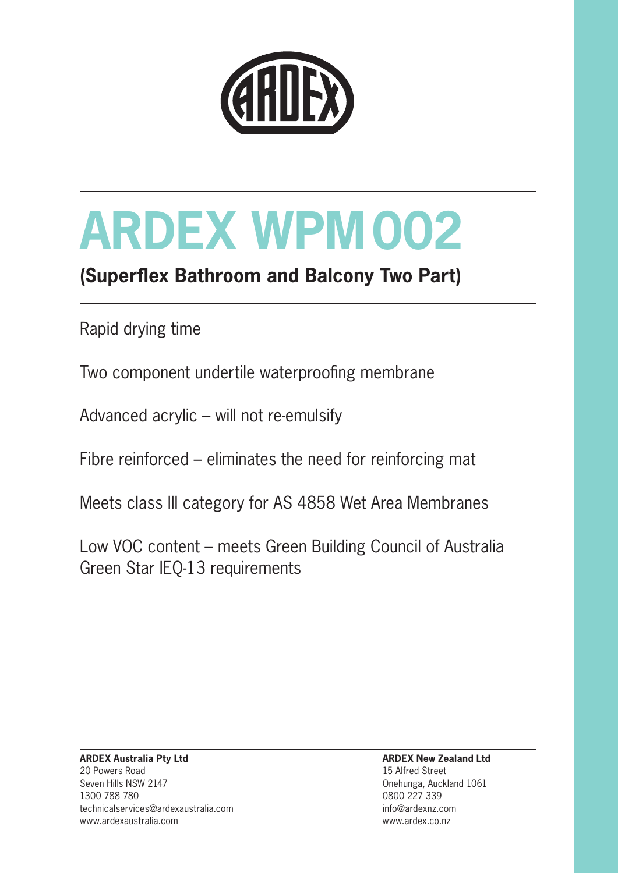

## **(Superflex Bathroom and Balcony Two Part)**

Rapid drying time

Two component undertile waterproofing membrane

Advanced acrylic – will not re-emulsify

Fibre reinforced – eliminates the need for reinforcing mat

Meets class III category for AS 4858 Wet Area Membranes

Low VOC content – meets Green Building Council of Australia Green Star IEQ-13 requirements

**ARDEX New Zealand Ltd** 15 Alfred Street Onehunga, Auckland 1061 0800 227 339 info@ardexnz.com www.ardex.co.nz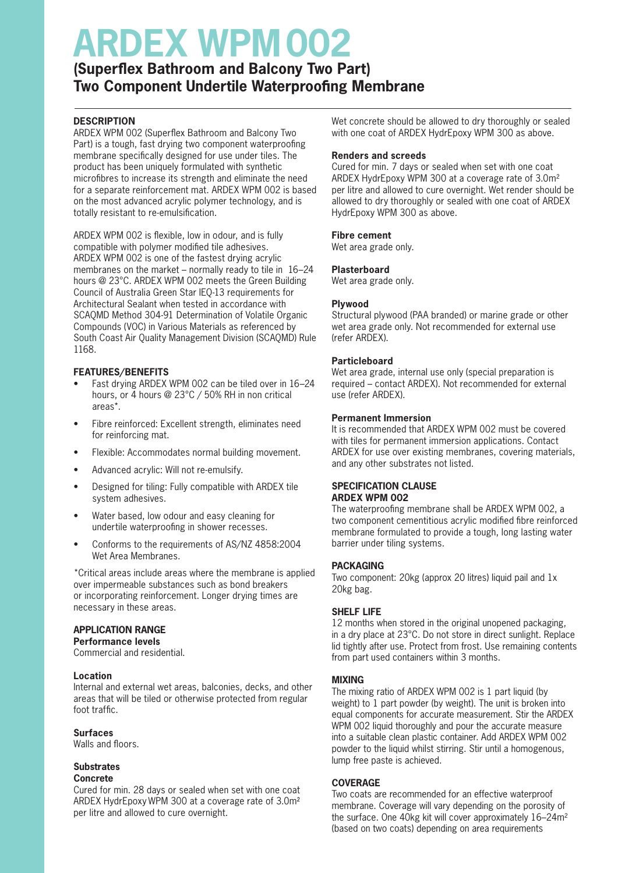### **(Superflex Bathroom and Balcony Two Part) Two Component Undertile Waterproofing Membrane**

#### **DESCRIPTION**

ARDEX WPM 002 (Superflex Bathroom and Balcony Two Part) is a tough, fast drying two component waterproofing membrane specifically designed for use under tiles. The product has been uniquely formulated with synthetic microfibres to increase its strength and eliminate the need for a separate reinforcement mat. ARDEX WPM 002 is based on the most advanced acrylic polymer technology, and is totally resistant to re-emulsification.

ARDEX WPM 002 is flexible, low in odour, and is fully compatible with polymer modified tile adhesives. ARDEX WPM 002 is one of the fastest drying acrylic membranes on the market – normally ready to tile in 16–24 hours @ 23°C. ARDEX WPM 002 meets the Green Building Council of Australia Green Star IEQ-13 requirements for Architectural Sealant when tested in accordance with SCAQMD Method 304-91 Determination of Volatile Organic Compounds (VOC) in Various Materials as referenced by South Coast Air Quality Management Division (SCAQMD) Rule 1168.

#### **FEATURES/BENEFITS**

- Fast drying ARDEX WPM 002 can be tiled over in 16–24 hours, or 4 hours @ 23°C / 50% RH in non critical areas\*.
- Fibre reinforced: Excellent strength, eliminates need for reinforcing mat.
- Flexible: Accommodates normal building movement.
- Advanced acrylic: Will not re-emulsify.
- Designed for tiling: Fully compatible with ARDEX tile system adhesives.
- Water based, low odour and easy cleaning for undertile waterproofing in shower recesses.
- Conforms to the requirements of AS/NZ 4858:2004 Wet Area Membranes.

\*Critical areas include areas where the membrane is applied over impermeable substances such as bond breakers or incorporating reinforcement. Longer drying times are necessary in these areas.

#### **APPLICATION RANGE**

**Performance levels** Commercial and residential.

#### **Location**

Internal and external wet areas, balconies, decks, and other areas that will be tiled or otherwise protected from regular foot traffic.

#### **Surfaces**

Walls and floors.

#### **Substrates Concrete**

Cured for min. 28 days or sealed when set with one coat ARDEX HydrEpoxy WPM 300 at a coverage rate of 3.0m2 per litre and allowed to cure overnight.

Wet concrete should be allowed to dry thoroughly or sealed with one coat of ARDEX HydrEpoxy WPM 300 as above.

#### **Renders and screeds**

Cured for min. 7 days or sealed when set with one coat ARDEX HydrEpoxy WPM 300 at a coverage rate of 3.0m2 per litre and allowed to cure overnight. Wet render should be allowed to dry thoroughly or sealed with one coat of ARDEX HydrEpoxy WPM 300 as above.

#### **Fibre cement**

Wet area grade only.

#### **Plasterboard**

Wet area grade only.

#### **Plywood**

Structural plywood (PAA branded) or marine grade or other wet area grade only. Not recommended for external use (refer ARDEX).

#### **Particleboard**

Wet area grade, internal use only (special preparation is required – contact ARDEX). Not recommended for external use (refer ARDEX).

#### **Permanent Immersion**

It is recommended that ARDEX WPM 002 must be covered with tiles for permanent immersion applications. Contact ARDEX for use over existing membranes, covering materials, and any other substrates not listed.

#### **SPECIFICATION CLAUSE ARDEX WPM 002**

The waterproofing membrane shall be ARDEX WPM 002, a two component cementitious acrylic modified fibre reinforced membrane formulated to provide a tough, long lasting water barrier under tiling systems.

#### **PACKAGING**

Two component: 20kg (approx 20 litres) liquid pail and 1x 20kg bag.

#### **SHELF LIFE**

12 months when stored in the original unopened packaging, in a dry place at 23°C. Do not store in direct sunlight. Replace lid tightly after use. Protect from frost. Use remaining contents from part used containers within 3 months.

#### **MIXING**

The mixing ratio of ARDEX WPM 002 is 1 part liquid (by weight) to 1 part powder (by weight). The unit is broken into equal components for accurate measurement. Stir the ARDEX WPM 002 liquid thoroughly and pour the accurate measure into a suitable clean plastic container. Add ARDEX WPM 002 powder to the liquid whilst stirring. Stir until a homogenous, lump free paste is achieved.

#### **COVERAGE**

Two coats are recommended for an effective waterproof membrane. Coverage will vary depending on the porosity of the surface. One 40kg kit will cover approximately 16–24m2 (based on two coats) depending on area requirements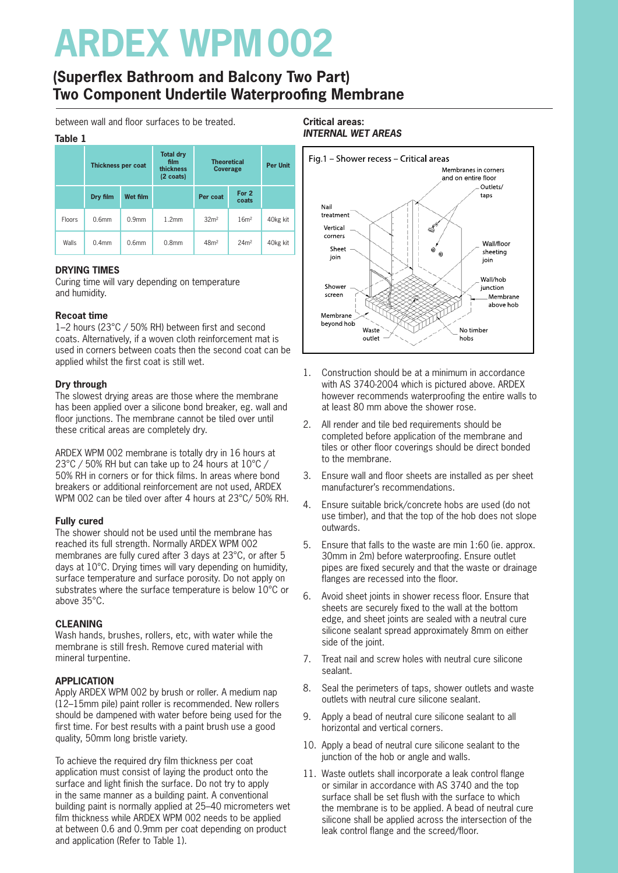### **(Superflex Bathroom and Balcony Two Part) Two Component Undertile Waterproofing Membrane**

between wall and floor surfaces to be treated.

#### **Table 1**

| .             |                    |                   |                                                              |                                       |                  |                 |  |
|---------------|--------------------|-------------------|--------------------------------------------------------------|---------------------------------------|------------------|-----------------|--|
|               | Thickness per coat |                   | <b>Total dry</b><br>film<br>thickness<br>$(2 \text{ coats})$ | <b>Theoretical</b><br><b>Coverage</b> |                  | <b>Per Unit</b> |  |
|               | Dry film           | Wet film          |                                                              | Per coat                              | For 2<br>coats   |                 |  |
| <b>Floors</b> | 0.6 <sub>mm</sub>  | 0.9 <sub>mm</sub> | 1.2 <sub>mm</sub>                                            | 32 <sup>m²</sup>                      | 16m <sup>2</sup> | 40kg kit        |  |
| Walls         | 0.4 <sub>mm</sub>  | 0.6 <sub>mm</sub> | 0.8 <sub>mm</sub>                                            | 48 <sup>m²</sup>                      | 24m <sup>2</sup> | 40kg kit        |  |

#### **DRYING TIMES**

Curing time will vary depending on temperature and humidity.

#### **Recoat time**

1–2 hours (23°C / 50% RH) between first and second coats. Alternatively, if a woven cloth reinforcement mat is used in corners between coats then the second coat can be applied whilst the first coat is still wet.

#### **Dry through**

The slowest drying areas are those where the membrane has been applied over a silicone bond breaker, eg. wall and floor junctions. The membrane cannot be tiled over until these critical areas are completely dry.

ARDEX WPM 002 membrane is totally dry in 16 hours at 23°C / 50% RH but can take up to 24 hours at 10°C / 50% RH in corners or for thick films. In areas where bond breakers or additional reinforcement are not used, ARDEX WPM 002 can be tiled over after 4 hours at 23°C/ 50% RH.

#### **Fully cured**

The shower should not be used until the membrane has reached its full strength. Normally ARDEX WPM 002 membranes are fully cured after 3 days at 23°C, or after 5 days at 10°C. Drying times will vary depending on humidity, surface temperature and surface porosity. Do not apply on substrates where the surface temperature is below 10°C or above 35°C.

#### **CLEANING**

Wash hands, brushes, rollers, etc, with water while the membrane is still fresh. Remove cured material with mineral turpentine.

#### **APPLICATION**

Apply ARDEX WPM 002 by brush or roller. A medium nap (12–15mm pile) paint roller is recommended. New rollers should be dampened with water before being used for the first time. For best results with a paint brush use a good quality, 50mm long bristle variety.

To achieve the required dry film thickness per coat application must consist of laying the product onto the surface and light finish the surface. Do not try to apply in the same manner as a building paint. A conventional building paint is normally applied at 25–40 micrometers wet film thickness while ARDEX WPM 002 needs to be applied at between 0.6 and 0.9mm per coat depending on product and application (Refer to Table 1).

#### **Critical areas: INTERNAL WET AREAS**



- 1. Construction should be at a minimum in accordance with AS 3740-2004 which is pictured above. ARDEX however recommends waterproofing the entire walls to at least 80 mm above the shower rose.
- 2. All render and tile bed requirements should be completed before application of the membrane and tiles or other floor coverings should be direct bonded to the membrane.
- 3. Ensure wall and floor sheets are installed as per sheet manufacturer's recommendations.
- 4. Ensure suitable brick/concrete hobs are used (do not use timber), and that the top of the hob does not slope outwards.
- 5. Ensure that falls to the waste are min 1:60 (ie. approx. 30mm in 2m) before waterproofing. Ensure outlet pipes are fixed securely and that the waste or drainage flanges are recessed into the floor.
- 6. Avoid sheet joints in shower recess floor. Ensure that sheets are securely fixed to the wall at the bottom edge, and sheet joints are sealed with a neutral cure silicone sealant spread approximately 8mm on either side of the joint.
- 7. Treat nail and screw holes with neutral cure silicone sealant.
- 8. Seal the perimeters of taps, shower outlets and waste outlets with neutral cure silicone sealant.
- 9. Apply a bead of neutral cure silicone sealant to all horizontal and vertical corners.
- 10. Apply a bead of neutral cure silicone sealant to the junction of the hob or angle and walls.
- 11. Waste outlets shall incorporate a leak control flange or similar in accordance with AS 3740 and the top surface shall be set flush with the surface to which the membrane is to be applied. A bead of neutral cure silicone shall be applied across the intersection of the leak control flange and the screed/floor.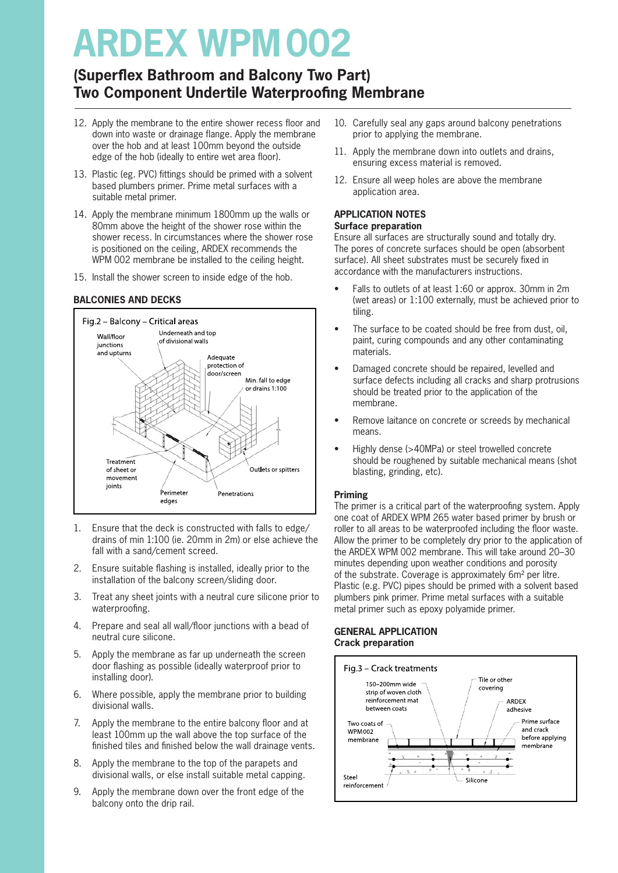### **(Superflex Bathroom and Balcony Two Part) Two Component Undertile Waterproofing Membrane**

- 12. Apply the membrane to the entire shower recess floor and down into waste or drainage flange. Apply the membrane over the hob and at least 100mm beyond the outside edge of the hob (ideally to entire wet area floor).
- 13. Plastic (eg. PVC) fittings should be primed with a solvent based plumbers primer. Prime metal surfaces with a suitable metal primer.
- 14. Apply the membrane minimum 1800mm up the walls or 80mm above the height of the shower rose within the shower recess. In circumstances where the shower rose is positioned on the ceiling, ARDEX recommends the WPM 002 membrane be installed to the ceiling height.
- 15. Install the shower screen to inside edge of the hob.

#### **BALCONIES AND DECKS**



- 1. Ensure that the deck is constructed with falls to edge/ drains of min 1:100 (ie. 20mm in 2m) or else achieve the fall with a sand/cement screed.
- 2. Ensure suitable flashing is installed, ideally prior to the installation of the balcony screen/sliding door.
- 3. Treat any sheet joints with a neutral cure silicone prior to waterproofing.
- 4. Prepare and seal all wall/floor junctions with a bead of neutral cure silicone.
- 5. Apply the membrane as far up underneath the screen door flashing as possible (ideally waterproof prior to installing door).
- 6. Where possible, apply the membrane prior to building divisional walls.
- 7. Apply the membrane to the entire balcony floor and at least 100mm up the wall above the top surface of the finished tiles and finished below the wall drainage vents.
- 8. Apply the membrane to the top of the parapets and divisional walls, or else install suitable metal capping.
- 9. Apply the membrane down over the front edge of the balcony onto the drip rail.
- 10. Carefully seal any gaps around balcony penetrations prior to applying the membrane.
- 11. Apply the membrane down into outlets and drains, ensuring excess material is removed.
- 12. Ensure all weep holes are above the membrane application area.

#### **APPLICATION NOTES Surface preparation**

Ensure all surfaces are structurally sound and totally dry. The pores of concrete surfaces should be open (absorbent surface). All sheet substrates must be securely fixed in accordance with the manufacturers instructions.

- Falls to outlets of at least 1:60 or approx. 30mm in 2m (wet areas) or 1:100 externally, must be achieved prior to tiling.
- The surface to be coated should be free from dust, oil, paint, curing compounds and any other contaminating materials.
- Damaged concrete should be repaired, levelled and surface defects including all cracks and sharp protrusions should be treated prior to the application of the membrane.
- Remove laitance on concrete or screeds by mechanical means.
- Highly dense (>40MPa) or steel trowelled concrete should be roughened by suitable mechanical means (shot blasting, grinding, etc).

#### **Priming**

The primer is a critical part of the waterproofing system. Apply one coat of ARDEX WPM 265 water based primer by brush or roller to all areas to be waterproofed including the floor waste. Allow the primer to be completely dry prior to the application of the ARDEX WPM 002 membrane. This will take around 20–30 minutes depending upon weather conditions and porosity of the substrate. Coverage is approximately 6m² per litre. Plastic (e.g. PVC) pipes should be primed with a solvent based plumbers pink primer. Prime metal surfaces with a suitable metal primer such as epoxy polyamide primer.

#### **GENERAL APPLICATION Crack preparation**

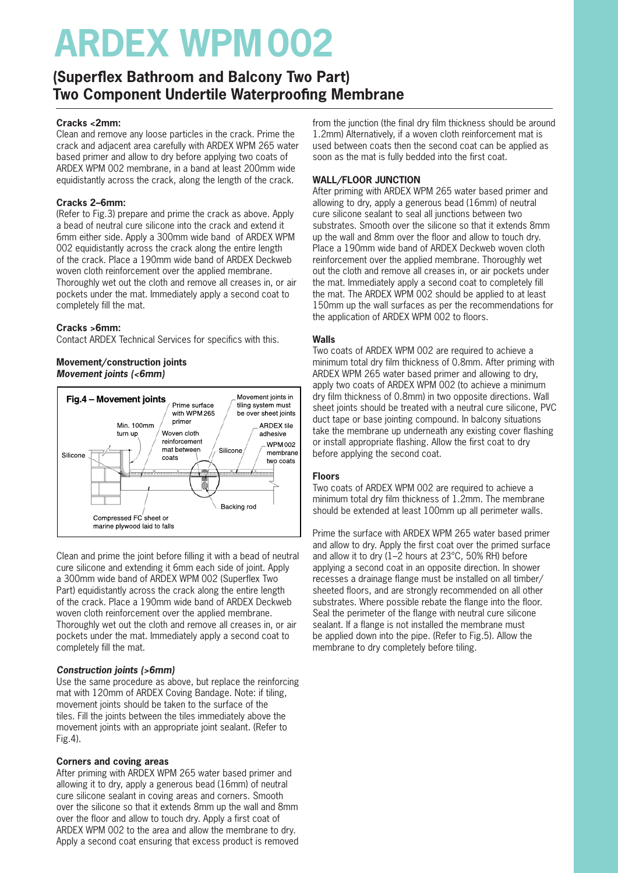### **(Superflex Bathroom and Balcony Two Part) Two Component Undertile Waterproofing Membrane**

#### **Cracks <2mm:**

Clean and remove any loose particles in the crack. Prime the crack and adjacent area carefully with ARDEX WPM 265 water based primer and allow to dry before applying two coats of ARDEX WPM 002 membrane, in a band at least 200mm wide equidistantly across the crack, along the length of the crack.

#### **Cracks 2–6mm:**

(Refer to Fig.3) prepare and prime the crack as above. Apply a bead of neutral cure silicone into the crack and extend it 6mm either side. Apply a 300mm wide band of ARDEX WPM 002 equidistantly across the crack along the entire length of the crack. Place a 190mm wide band of ARDEX Deckweb woven cloth reinforcement over the applied membrane. Thoroughly wet out the cloth and remove all creases in, or air pockets under the mat. Immediately apply a second coat to completely fill the mat.

#### **Cracks >6mm:**

Contact ARDEX Technical Services for specifics with this.

#### **Movement/construction joints Movement joints (<6mm)**



Clean and prime the joint before filling it with a bead of neutral cure silicone and extending it 6mm each side of joint. Apply a 300mm wide band of ARDEX WPM 002 (Superflex Two Part) equidistantly across the crack along the entire length of the crack. Place a 190mm wide band of ARDEX Deckweb woven cloth reinforcement over the applied membrane. Thoroughly wet out the cloth and remove all creases in, or air pockets under the mat. Immediately apply a second coat to completely fill the mat.

#### **Construction joints (>6mm)**

Use the same procedure as above, but replace the reinforcing mat with 120mm of ARDEX Coving Bandage. Note: if tiling, movement joints should be taken to the surface of the tiles. Fill the joints between the tiles immediately above the movement joints with an appropriate joint sealant. (Refer to Fig.4).

#### **Corners and coving areas**

After priming with ARDEX WPM 265 water based primer and allowing it to dry, apply a generous bead (16mm) of neutral cure silicone sealant in coving areas and corners. Smooth over the silicone so that it extends 8mm up the wall and 8mm over the floor and allow to touch dry. Apply a first coat of ARDEX WPM 002 to the area and allow the membrane to dry. Apply a second coat ensuring that excess product is removed from the junction (the final dry film thickness should be around 1.2mm) Alternatively, if a woven cloth reinforcement mat is used between coats then the second coat can be applied as soon as the mat is fully bedded into the first coat.

#### **WALL/FLOOR JUNCTION**

After priming with ARDEX WPM 265 water based primer and allowing to dry, apply a generous bead (16mm) of neutral cure silicone sealant to seal all junctions between two substrates. Smooth over the silicone so that it extends 8mm up the wall and 8mm over the floor and allow to touch dry. Place a 190mm wide band of ARDEX Deckweb woven cloth reinforcement over the applied membrane. Thoroughly wet out the cloth and remove all creases in, or air pockets under the mat. Immediately apply a second coat to completely fill the mat. The ARDEX WPM 002 should be applied to at least 150mm up the wall surfaces as per the recommendations for the application of ARDEX WPM 002 to floors.

#### **Walls**

Two coats of ARDEX WPM 002 are required to achieve a minimum total dry film thickness of 0.8mm. After priming with ARDEX WPM 265 water based primer and allowing to dry, apply two coats of ARDEX WPM 002 (to achieve a minimum dry film thickness of 0.8mm) in two opposite directions. Wall sheet joints should be treated with a neutral cure silicone, PVC duct tape or base jointing compound. In balcony situations take the membrane up underneath any existing cover flashing or install appropriate flashing. Allow the first coat to dry before applying the second coat.

#### **Floors**

Two coats of ARDEX WPM 002 are required to achieve a minimum total dry film thickness of 1.2mm. The membrane should be extended at least 100mm up all perimeter walls.

Prime the surface with ARDEX WPM 265 water based primer and allow to dry. Apply the first coat over the primed surface and allow it to dry (1–2 hours at 23°C, 50% RH) before applying a second coat in an opposite direction. In shower recesses a drainage flange must be installed on all timber/ sheeted floors, and are strongly recommended on all other substrates. Where possible rebate the flange into the floor. Seal the perimeter of the flange with neutral cure silicone sealant. If a flange is not installed the membrane must be applied down into the pipe. (Refer to Fig.5). Allow the membrane to dry completely before tiling.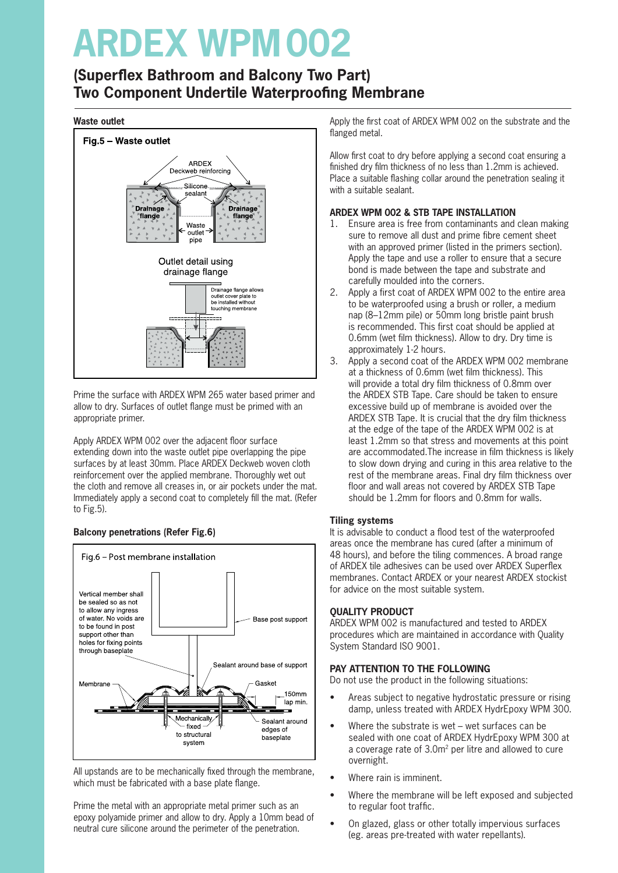### **(Superflex Bathroom and Balcony Two Part) Two Component Undertile Waterproofing Membrane**

#### **Waste outlet**



Prime the surface with ARDEX WPM 265 water based primer and allow to dry. Surfaces of outlet flange must be primed with an appropriate primer.

Apply ARDEX WPM 002 over the adjacent floor surface extending down into the waste outlet pipe overlapping the pipe surfaces by at least 30mm. Place ARDEX Deckweb woven cloth reinforcement over the applied membrane. Thoroughly wet out the cloth and remove all creases in, or air pockets under the mat. Immediately apply a second coat to completely fill the mat. (Refer to Fig.5).

#### **Balcony penetrations (Refer Fig.6)**



All upstands are to be mechanically fixed through the membrane, which must be fabricated with a base plate flange.

Prime the metal with an appropriate metal primer such as an epoxy polyamide primer and allow to dry. Apply a 10mm bead of neutral cure silicone around the perimeter of the penetration.

Apply the first coat of ARDEX WPM 002 on the substrate and the flanged metal.

Allow first coat to dry before applying a second coat ensuring a finished dry film thickness of no less than 1.2mm is achieved. Place a suitable flashing collar around the penetration sealing it with a suitable sealant.

#### **ARDEX WPM 002 & STB TAPE INSTALLATION**

- 1. Ensure area is free from contaminants and clean making sure to remove all dust and prime fibre cement sheet with an approved primer (listed in the primers section). Apply the tape and use a roller to ensure that a secure bond is made between the tape and substrate and carefully moulded into the corners.
- 2. Apply a first coat of ARDEX WPM 002 to the entire area to be waterproofed using a brush or roller, a medium nap (8–12mm pile) or 50mm long bristle paint brush is recommended. This first coat should be applied at 0.6mm (wet film thickness). Allow to dry. Dry time is approximately 1-2 hours.
- 3. Apply a second coat of the ARDEX WPM 002 membrane at a thickness of 0.6mm (wet film thickness). This will provide a total dry film thickness of 0.8mm over the ARDEX STB Tape. Care should be taken to ensure excessive build up of membrane is avoided over the ARDEX STB Tape. It is crucial that the dry film thickness at the edge of the tape of the ARDEX WPM 002 is at least 1.2mm so that stress and movements at this point are accommodated.The increase in film thickness is likely to slow down drying and curing in this area relative to the rest of the membrane areas. Final dry film thickness over floor and wall areas not covered by ARDEX STB Tape should be 1.2mm for floors and 0.8mm for walls.

#### **Tiling systems**

It is advisable to conduct a flood test of the waterproofed areas once the membrane has cured (after a minimum of 48 hours), and before the tiling commences. A broad range of ARDEX tile adhesives can be used over ARDEX Superflex membranes. Contact ARDEX or your nearest ARDEX stockist for advice on the most suitable system.

#### **QUALITY PRODUCT**

ARDEX WPM 002 is manufactured and tested to ARDEX procedures which are maintained in accordance with Quality System Standard ISO 9001.

#### **PAY ATTENTION TO THE FOLLOWING**

Do not use the product in the following situations:

- Areas subject to negative hydrostatic pressure or rising damp, unless treated with ARDEX HydrEpoxy WPM 300.
- Where the substrate is wet wet surfaces can be sealed with one coat of ARDEX HydrEpoxy WPM 300 at a coverage rate of 3.0m2 per litre and allowed to cure overnight.
- Where rain is imminent.
- Where the membrane will be left exposed and subjected to regular foot traffic.
- On glazed, glass or other totally impervious surfaces (eg. areas pre-treated with water repellants).